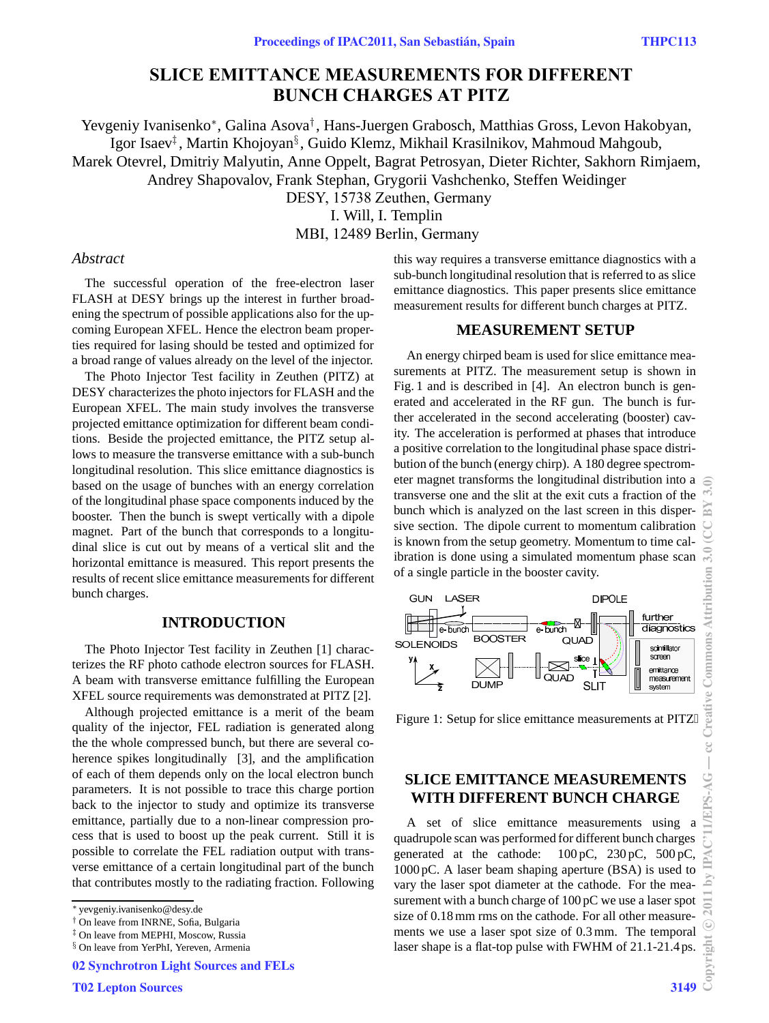# **SLICE EMITTANCE MEASUREMENTS FOR DIFFERENT BUNCH CHARGES AT PITZ**

Yevgeniy Ivanisenko<sup>∗</sup>, Galina Asova† , Hans-Juergen Grabosch, Matthias Gross, Levon Hakobyan, Igor Isaev‡ , Martin Khojoyan§ , Guido Klemz, Mikhail Krasilnikov, Mahmoud Mahgoub, Marek Otevrel, Dmitriy Malyutin, Anne Oppelt, Bagrat Petrosyan, Dieter Richter, Sakhorn Rimjaem, Andrey Shapovalov, Frank Stephan, Grygorii Vashchenko, Steffen Weidinger DESY, 15738 Zeuthen, Germany I. Will, I. Templin

MBI, 12489 Berlin, Germany

#### *Abstract*

The successful operation of the free-electron laser FLASH at DESY brings up the interest in further broadening the spectrum of possible applications also for the upcoming European XFEL. Hence the electron beam properties required for lasing should be tested and optimized for a broad range of values already on the level of the injector.

The Photo Injector Test facility in Zeuthen (PITZ) at DESY characterizes the photo injectors for FLASH and the European XFEL. The main study involves the transverse projected emittance optimization for different beam conditions. Beside the projected emittance, the PITZ setup allows to measure the transverse emittance with a sub-bunch longitudinal resolution. This slice emittance diagnostics is based on the usage of bunches with an energy correlation of the longitudinal phase space components induced by the booster. Then the bunch is swept vertically with a dipole magnet. Part of the bunch that corresponds to a longitudinal slice is cut out by means of a vertical slit and the horizontal emittance is measured. This report presents the results of recent slice emittance measurements for different bunch charges.

#### **INTRODUCTION**

The Photo Injector Test facility in Zeuthen [1] characterizes the RF photo cathode electron sources for FLASH. A beam with transverse emittance fulfilling the European XFEL source requirements was demonstrated at PITZ [2].

Although projected emittance is a merit of the beam quality of the injector, FEL radiation is generated along the the whole compressed bunch, but there are several coherence spikes longitudinally [3], and the amplification of each of them depends only on the local electron bunch parameters. It is not possible to trace this charge portion back to the injector to study and optimize its transverse emittance, partially due to a non-linear compression process that is used to boost up the peak current. Still it is possible to correlate the FEL radiation output with transverse emittance of a certain longitudinal part of the bunch that contributes mostly to the radiating fraction. Following

this way requires a transverse emittance diagnostics with a sub-bunch longitudinal resolution that is referred to as slice emittance diagnostics. This paper presents slice emittance measurement results for different bunch charges at PITZ.

#### **MEASUREMENT SETUP**

An energy chirped beam is used for slice emittance measurements at PITZ. The measurement setup is shown in Fig. 1 and is described in [4]. An electron bunch is generated and accelerated in the RF gun. The bunch is further accelerated in the second accelerating (booster) cavity. The acceleration is performed at phases that introduce a positive correlation to the longitudinal phase space distribution of the bunch (energy chirp). A 180 degree spectrometer magnet transforms the longitudinal distribution into a transverse one and the slit at the exit cuts a fraction of the bunch which is analyzed on the last screen in this dispersive section. The dipole current to momentum calibration is known from the setup geometry. Momentum to time calibration is done using a simulated momentum phase scan of a single particle in the booster cavity.



Figure 1: Setup for slice emittance measurements at PITZ

## **SLICE EMITTANCE MEASUREMENTS WITH DIFFERENT BUNCH CHARGE**

A set of slice emittance measurements using a quadrupole scan was performed for different bunch charges generated at the cathode: 100 pC, 230 pC, 500 pC, 1000 pC. A laser beam shaping aperture (BSA) is used to vary the laser spot diameter at the cathode. For the measurement with a bunch charge of 100 pC we use a laser spot size of 0.18 mm rms on the cathode. For all other measurements we use a laser spot size of 0.3 mm. The temporal laser shape is a flat-top pulse with FWHM of 21.1-21.4 ps.

<sup>∗</sup> yevgeniy.ivanisenko@desy.de

<sup>†</sup> On leave from INRNE, Sofia, Bulgaria

<sup>‡</sup> On leave from MEPHI, Moscow, Russia

<sup>§</sup> On leave from YerPhI, Yereven, Armenia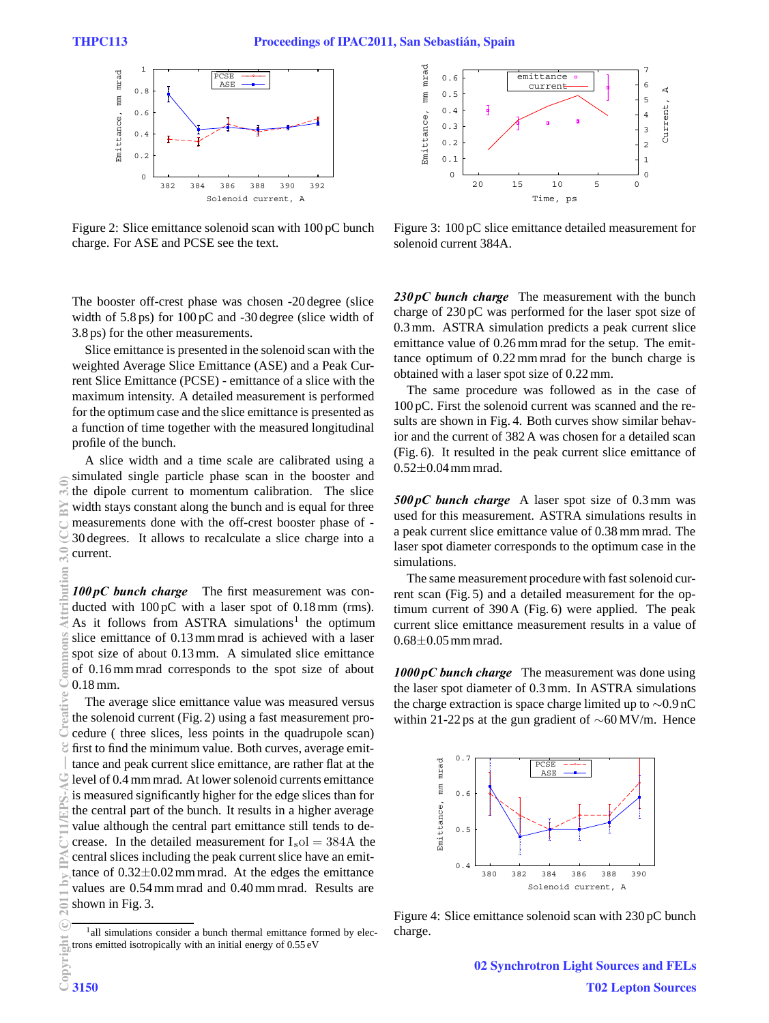

Figure 2: Slice emittance solenoid scan with 100 pC bunch charge. For ASE and PCSE see the text.

The booster off-crest phase was chosen -20 degree (slice width of 5.8 ps) for 100 pC and -30 degree (slice width of 3.8 ps) for the other measurements.

Slice emittance is presented in the solenoid scan with the weighted Average Slice Emittance (ASE) and a Peak Current Slice Emittance (PCSE) - emittance of a slice with the maximum intensity. A detailed measurement is performed for the optimum case and the slice emittance is presented as a function of time together with the measured longitudinal profile of the bunch.

A slice width and a time scale are calibrated using a simulated single particle phase scan in the booster and the dipole current to momentum calibration. The slice width stays constant along the bunch and is equal for three measurements done with the off-crest booster phase of - 30 degrees. It allows to recalculate a slice charge into a current.

*100 pC bunch charge* The first measurement was conducted with 100 pC with a laser spot of 0.18 mm (rms). As it follows from ASTRA simulations<sup>1</sup> the optimum slice emittance of 0.13 mm mrad is achieved with a laser spot size of about 0.13 mm. A simulated slice emittance of 0.16 mm mrad corresponds to the spot size of about 0.18 mm.

The average slice emittance value was measured versus the solenoid current (Fig. 2) using a fast measurement procedure ( three slices, less points in the quadrupole scan) first to find the minimum value. Both curves, average emittance and peak current slice emittance, are rather flat at the level of 0.4 mm mrad. At lower solenoid currents emittance is measured significantly higher for the edge slices than for the central part of the bunch. It results in a higher average value although the central part emittance still tends to decrease. In the detailed measurement for  $I_{\rm s}ol = 384$ A the central slices including the peak current slice have an emittance of  $0.32 \pm 0.02$  mm mrad. At the edges the emittance values are 0.54 mm mrad and 0.40 mm mrad. Results are shown in Fig. 3.



Figure 3: 100 pC slice emittance detailed measurement for solenoid current 384A.

*230 pC bunch charge* The measurement with the bunch charge of 230 pC was performed for the laser spot size of 0.3 mm. ASTRA simulation predicts a peak current slice emittance value of 0.26 mm mrad for the setup. The emittance optimum of 0.22 mm mrad for the bunch charge is obtained with a laser spot size of 0.22 mm.

The same procedure was followed as in the case of 100 pC. First the solenoid current was scanned and the results are shown in Fig. 4. Both curves show similar behavior and the current of 382 A was chosen for a detailed scan (Fig. 6). It resulted in the peak current slice emittance of 0.52±0.04mm mrad.

*500 pC bunch charge* A laser spot size of 0.3 mm was used for this measurement. ASTRA simulations results in a peak current slice emittance value of 0.38 mm mrad. The laser spot diameter corresponds to the optimum case in the simulations.

The same measurement procedure with fast solenoid current scan (Fig. 5) and a detailed measurement for the optimum current of 390 A (Fig. 6) were applied. The peak current slice emittance measurement results in a value of 0.68±0.05mm mrad.

*1000 pC bunch charge* The measurement was done using the laser spot diameter of 0.3 mm. In ASTRA simulations the charge extraction is space charge limited up to ∼0.9 nC within 21-22 ps at the gun gradient of ∼60 MV/m. Hence



Figure 4: Slice emittance solenoid scan with 230 pC bunch charge.

<sup>&</sup>lt;sup>1</sup>all simulations consider a bunch thermal emittance formed by electrons emitted isotropically with an initial energy of 0.55 eV